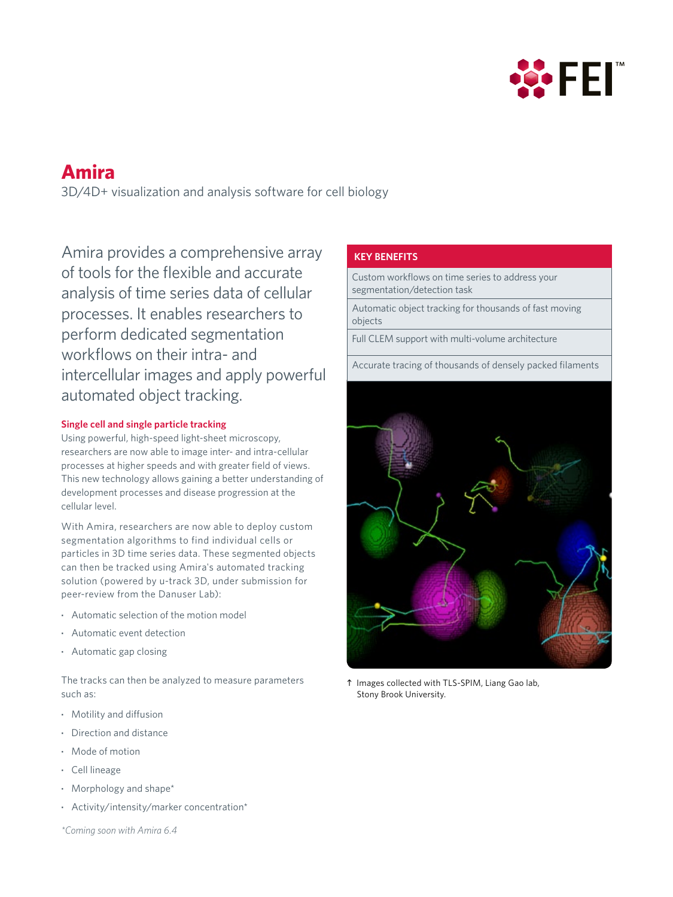

# **Amira**

3D/4D+ visualization and analysis software for cell biology

Amira provides a comprehensive array of tools for the flexible and accurate analysis of time series data of cellular processes. It enables researchers to perform dedicated segmentation workflows on their intra- and intercellular images and apply powerful automated object tracking.

## **Single cell and single particle tracking**

Using powerful, high-speed light-sheet microscopy, researchers are now able to image inter- and intra-cellular processes at higher speeds and with greater field of views. This new technology allows gaining a better understanding of development processes and disease progression at the cellular level.

With Amira, researchers are now able to deploy custom segmentation algorithms to find individual cells or particles in 3D time series data. These segmented objects can then be tracked using Amira's automated tracking solution (powered by u-track 3D, under submission for peer-review from the Danuser Lab):

- **·** Automatic selection of the motion model
- **·** Automatic event detection
- **·** Automatic gap closing

The tracks can then be analyzed to measure parameters such as:

- **·** Motility and diffusion
- **·** Direction and distance
- **·** Mode of motion
- **·** Cell lineage
- **·** Morphology and shape\*
- **·** Activity/intensity/marker concentration\*

## *\*Coming soon with Amira 6.4*

## **KEY BENEFITS**

Custom workflows on time series to address your segmentation/detection task

Automatic object tracking for thousands of fast moving objects

Full CLEM support with multi-volume architecture

Accurate tracing of thousands of densely packed filaments



 Images collected with TLS-SPIM, Liang Gao lab, Stony Brook University.